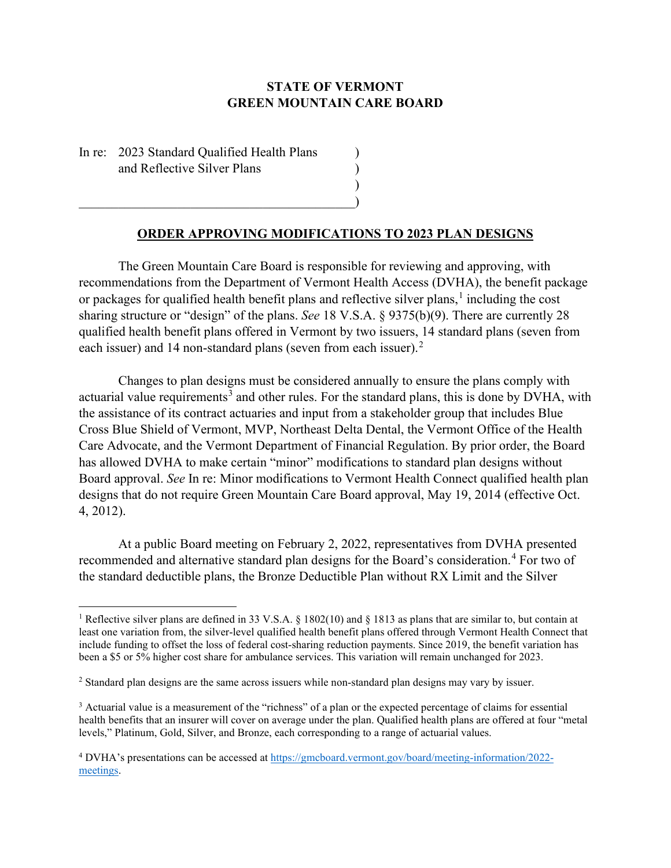## **STATE OF VERMONT GREEN MOUNTAIN CARE BOARD**

In re: 2023 Standard Qualified Health Plans and Reflective Silver Plans )

 $\hspace{.5cm}$   $\hspace{.5cm}$   $\hspace{.5cm}$   $\hspace{.5cm}$   $\hspace{.5cm}$   $\hspace{.5cm}$   $\hspace{.5cm}$   $\hspace{.5cm}$   $\hspace{.5cm}$   $\hspace{.5cm}$   $\hspace{.5cm}$   $\hspace{.5cm}$   $\hspace{.5cm}$   $\hspace{.5cm}$   $\hspace{.5cm}$   $\hspace{.5cm}$   $\hspace{.5cm}$   $\hspace{.5cm}$   $\hspace{.5cm}$   $\hspace{.5cm}$ 

## **ORDER APPROVING MODIFICATIONS TO 2023 PLAN DESIGNS**

)

The Green Mountain Care Board is responsible for reviewing and approving, with recommendations from the Department of Vermont Health Access (DVHA), the benefit package or packages for qualified health benefit plans and reflective silver plans, [1](#page-0-0) including the cost sharing structure or "design" of the plans. *See* 18 V.S.A. § 9375(b)(9). There are currently 28 qualified health benefit plans offered in Vermont by two issuers, 14 standard plans (seven from each issuer) and 14 non-standard plans (seven from each issuer).<sup>[2](#page-0-1)</sup>

Changes to plan designs must be considered annually to ensure the plans comply with actuarial value requirements<sup>[3](#page-0-2)</sup> and other rules. For the standard plans, this is done by DVHA, with the assistance of its contract actuaries and input from a stakeholder group that includes Blue Cross Blue Shield of Vermont, MVP, Northeast Delta Dental, the Vermont Office of the Health Care Advocate, and the Vermont Department of Financial Regulation. By prior order, the Board has allowed DVHA to make certain "minor" modifications to standard plan designs without Board approval. *See* In re: Minor modifications to Vermont Health Connect qualified health plan designs that do not require Green Mountain Care Board approval, May 19, 2014 (effective Oct. 4, 2012).

At a public Board meeting on February 2, 2022, representatives from DVHA presented recommended and alternative standard plan designs for the Board's consideration.<sup>[4](#page-0-3)</sup> For two of the standard deductible plans, the Bronze Deductible Plan without RX Limit and the Silver

<span id="page-0-0"></span><sup>&</sup>lt;sup>1</sup> Reflective silver plans are defined in 33 V.S.A. § 1802(10) and § 1813 as plans that are similar to, but contain at least one variation from, the silver-level qualified health benefit plans offered through Vermont Health Connect that include funding to offset the loss of federal cost-sharing reduction payments. Since 2019, the benefit variation has been a \$5 or 5% higher cost share for ambulance services. This variation will remain unchanged for 2023.

<span id="page-0-1"></span><sup>2</sup> Standard plan designs are the same across issuers while non-standard plan designs may vary by issuer.

<span id="page-0-2"></span><sup>&</sup>lt;sup>3</sup> Actuarial value is a measurement of the "richness" of a plan or the expected percentage of claims for essential health benefits that an insurer will cover on average under the plan. Qualified health plans are offered at four "metal levels," Platinum, Gold, Silver, and Bronze, each corresponding to a range of actuarial values.

<span id="page-0-3"></span><sup>4</sup> DVHA's presentations can be accessed at [https://gmcboard.vermont.gov/board/meeting-information/2022](https://gmcboard.vermont.gov/board/meeting-information/2022-meetings) [meetings.](https://gmcboard.vermont.gov/board/meeting-information/2022-meetings)